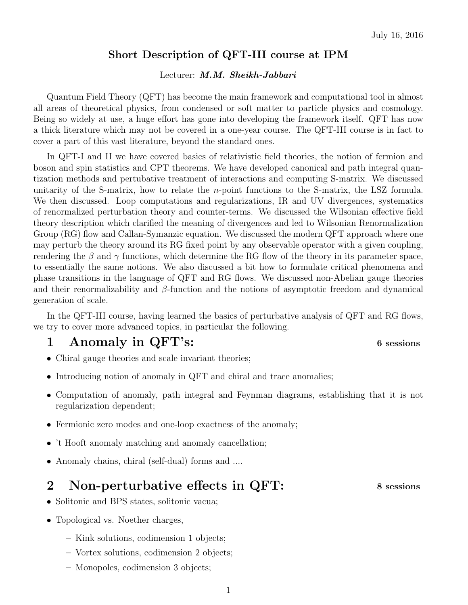#### Short Description of QFT-III course at IPM

#### Lecturer: M.M. Sheikh-Jabbari

Quantum Field Theory (QFT) has become the main framework and computational tool in almost all areas of theoretical physics, from condensed or soft matter to particle physics and cosmology. Being so widely at use, a huge effort has gone into developing the framework itself. QFT has now a thick literature which may not be covered in a one-year course. The QFT-III course is in fact to cover a part of this vast literature, beyond the standard ones.

In QFT-I and II we have covered basics of relativistic field theories, the notion of fermion and boson and spin statistics and CPT theorems. We have developed canonical and path integral quantization methods and pertubative treatment of interactions and computing S-matrix. We discussed unitarity of the S-matrix, how to relate the n-point functions to the S-matrix, the LSZ formula. We then discussed. Loop computations and regularizations, IR and UV divergences, systematics of renormalized perturbation theory and counter-terms. We discussed the Wilsonian effective field theory description which clarified the meaning of divergences and led to Wilsonian Renormalization Group (RG) flow and Callan-Symanzic equation. We discussed the modern QFT approach where one may perturb the theory around its RG fixed point by any observable operator with a given coupling, rendering the  $\beta$  and  $\gamma$  functions, which determine the RG flow of the theory in its parameter space, to essentially the same notions. We also discussed a bit how to formulate critical phenomena and phase transitions in the language of QFT and RG flows. We discussed non-Abelian gauge theories and their renormalizability and  $\beta$ -function and the notions of asymptotic freedom and dynamical generation of scale.

In the QFT-III course, having learned the basics of perturbative analysis of QFT and RG flows, we try to cover more advanced topics, in particular the following.

## 1 Anomaly in QFT's: 6 sessions

- Chiral gauge theories and scale invariant theories;
- Introducing notion of anomaly in QFT and chiral and trace anomalies;
- Computation of anomaly, path integral and Feynman diagrams, establishing that it is not regularization dependent;
- Fermionic zero modes and one-loop exactness of the anomaly;
- 't Hooft anomaly matching and anomaly cancellation;
- Anomaly chains, chiral (self-dual) forms and ....

#### 2 Non-perturbative effects in QFT: 8 sessions

- Solitonic and BPS states, solitonic vacua;
- Topological vs. Noether charges,
	- Kink solutions, codimension 1 objects;
	- Vortex solutions, codimension 2 objects;
	- Monopoles, codimension 3 objects;